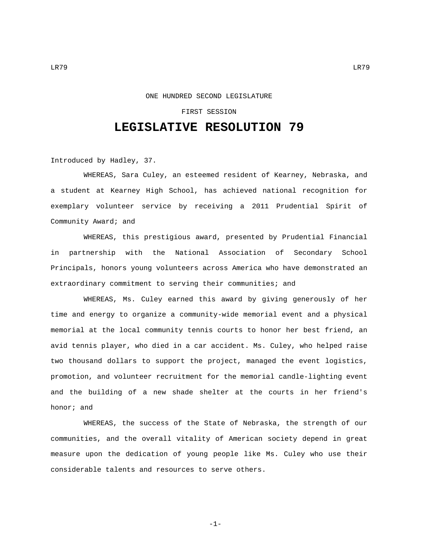## FIRST SESSION

## **LEGISLATIVE RESOLUTION 79**

Introduced by Hadley, 37.

WHEREAS, Sara Culey, an esteemed resident of Kearney, Nebraska, and a student at Kearney High School, has achieved national recognition for exemplary volunteer service by receiving a 2011 Prudential Spirit of Community Award; and

WHEREAS, this prestigious award, presented by Prudential Financial in partnership with the National Association of Secondary School Principals, honors young volunteers across America who have demonstrated an extraordinary commitment to serving their communities; and

WHEREAS, Ms. Culey earned this award by giving generously of her time and energy to organize a community-wide memorial event and a physical memorial at the local community tennis courts to honor her best friend, an avid tennis player, who died in a car accident. Ms. Culey, who helped raise two thousand dollars to support the project, managed the event logistics, promotion, and volunteer recruitment for the memorial candle-lighting event and the building of a new shade shelter at the courts in her friend's honor; and

WHEREAS, the success of the State of Nebraska, the strength of our communities, and the overall vitality of American society depend in great measure upon the dedication of young people like Ms. Culey who use their considerable talents and resources to serve others.

-1-